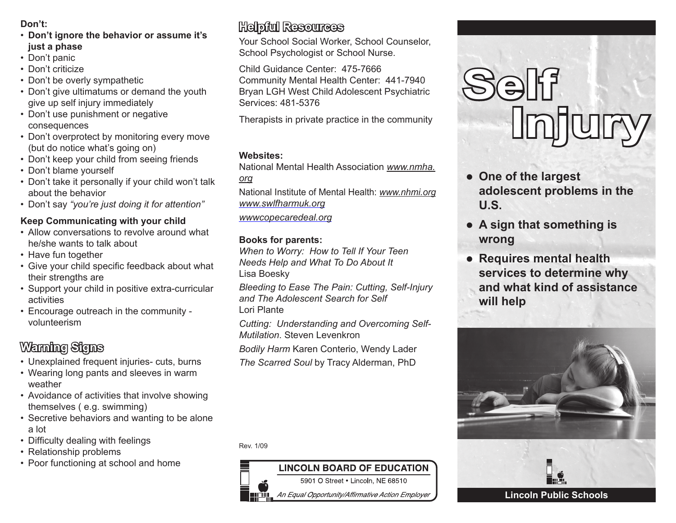### **Don't:**

- **Don't ignore the behavior or assume it's just a phase**
- Don't panic
- Don't criticize
- Don't be overly sympathetic
- Don't give ultimatums or demand the youth give up self injury immediately
- Don't use punishment or negative consequences
- Don't overprotect by monitoring every move (but do notice what's going on)
- Don't keep your child from seeing friends
- Don't blame yourself
- Don't take it personally if your child won't talk about the behavior
- Don't say *"you're just doing it for attention"*

### **Keep Communicating with your child**

- Allow conversations to revolve around what he/she wants to talk about
- Have fun together
- Give your child specific feedback about what their strengths are
- Support your child in positive extra-curricular activities
- Encourage outreach in the community volunteerism

# **Warning Signs**

- Unexplained frequent injuries- cuts, burns
- Wearing long pants and sleeves in warm weather
- Avoidance of activities that involve showing themselves ( e.g. swimming)
- Secretive behaviors and wanting to be alone a lot
- Difficulty dealing with feelings
- Relationship problems
- Poor functioning at school and home

# **Helpful Resources**

Your School Social Worker, School Counselor, School Psychologist or School Nurse.

Child Guidance Center: 475-7666 Community Mental Health Center: 441-7940 Bryan LGH West Child Adolescent Psychiatric Services: 481-5376

Therapists in private practice in the community

### **Websites:**

National Mental Health Association *www.nmha.*

*org*

National Institute of Mental Health: *www.nhmi.org www.swlfharmuk.org*

*wwwcopecaredeal.org*

## **Books for parents:**

*When to Worry: How to Tell If Your Teen Needs Help and What To Do About It* Lisa Boesky

*Bleeding to Ease The Pain: Cutting, Self-Injury and The Adolescent Search for Self* Lori Plante

*Cutting: Understanding and Overcoming Self-Mutilation*. Steven Levenkron

*Bodily Harm* Karen Conterio, Wendy Lader

*The Scarred Soul* by Tracy Alderman, PhD

Rev. 1/09

#### **LINCOLN BOARD OF EDUCATION** 5901 O Street . Lincoln, NE 68510

An Equal Opportunity/Affirmative Action Employer



- $\bullet$  One of the largest **adolescent problems in the U.S.**
- **A sign that something is wrong**
- **Requires mental health services to determine why and what kind of assistance will help**